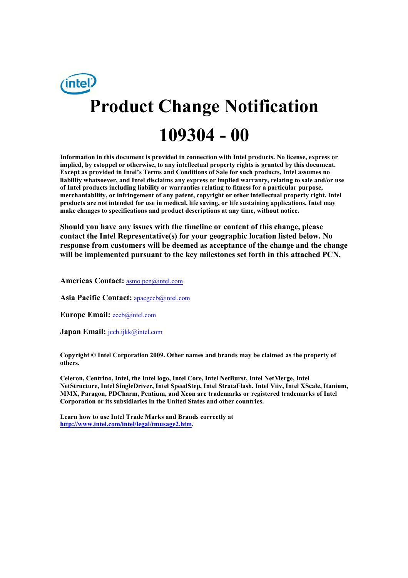# inte **Product Change Notification 109304 - 00**

**Information in this document is provided in connection with Intel products. No license, express or implied, by estoppel or otherwise, to any intellectual property rights is granted by this document. Except as provided in Intel's Terms and Conditions of Sale for such products, Intel assumes no liability whatsoever, and Intel disclaims any express or implied warranty, relating to sale and/or use of Intel products including liability or warranties relating to fitness for a particular purpose, merchantability, or infringement of any patent, copyright or other intellectual property right. Intel products are not intended for use in medical, life saving, or life sustaining applications. Intel may make changes to specifications and product descriptions at any time, without notice.** 

**Should you have any issues with the timeline or content of this change, please contact the Intel Representative(s) for your geographic location listed below. No response from customers will be deemed as acceptance of the change and the change will be implemented pursuant to the key milestones set forth in this attached PCN.** 

**Americas Contact:** asmo.pcn@intel.com

**Asia Pacific Contact:** apacgccb@intel.com

**Europe Email:** eccb@intel.com

Japan Email: **jccb.ijkk@intel.com** 

**Copyright © Intel Corporation 2009. Other names and brands may be claimed as the property of others.**

**Celeron, Centrino, Intel, the Intel logo, Intel Core, Intel NetBurst, Intel NetMerge, Intel NetStructure, Intel SingleDriver, Intel SpeedStep, Intel StrataFlash, Intel Viiv, Intel XScale, Itanium, MMX, Paragon, PDCharm, Pentium, and Xeon are trademarks or registered trademarks of Intel Corporation or its subsidiaries in the United States and other countries.** 

**Learn how to use Intel Trade Marks and Brands correctly at http://www.intel.com/intel/legal/tmusage2.htm.**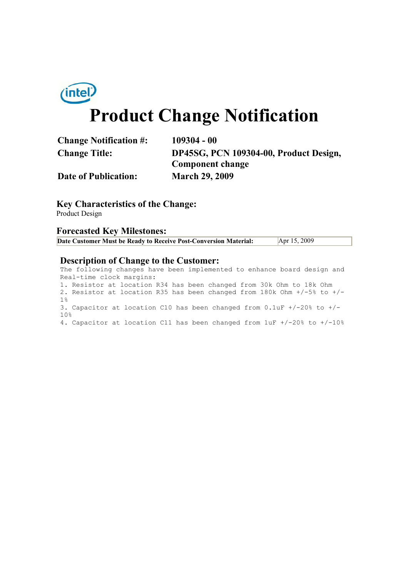

# **Product Change Notification**

| <b>Change Notification #:</b> | $109304 - 00$                          |  |
|-------------------------------|----------------------------------------|--|
| <b>Change Title:</b>          | DP45SG, PCN 109304-00, Product Design, |  |
|                               | <b>Component change</b>                |  |
| <b>Date of Publication:</b>   | <b>March 29, 2009</b>                  |  |

**Key Characteristics of the Change:** Product Design

#### **Forecasted Key Milestones:**

| Date Customer Must be Ready to Receive Post-Conversion Material: | Apr 15, 2009 |
|------------------------------------------------------------------|--------------|

#### **Description of Change to the Customer:**

The following changes have been implemented to enhance board design and Real-time clock margins: 1. Resistor at location R34 has been changed from 30k Ohm to 18k Ohm 2. Resistor at location R35 has been changed from 180k Ohm +/-5% to +/- 1% 3. Capacitor at location C10 has been changed from 0.1uF +/-20% to +/- 10% 4. Capacitor at location C11 has been changed from 1uF +/-20% to +/-10%